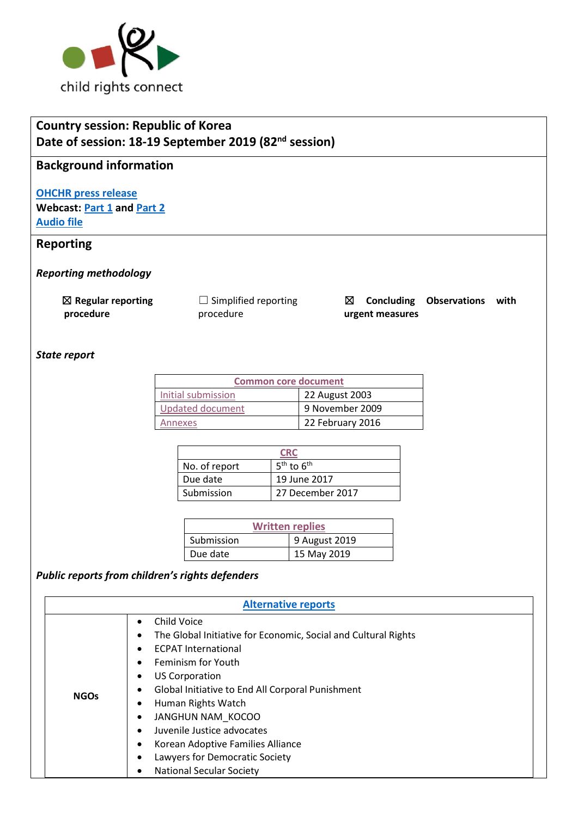

# **Country session: Republic of Korea Date of session: 18-19 September 2019 (82nd session)**

### **Background information**

**[OHCHR press release](https://www.ohchr.org/EN/NewsEvents/Pages/DisplayNews.aspx?NewsID=25026&LangID=E) Webcast: [Part 1](http://webtv.un.org/meetings-events/human-rights-treaty-bodies/committee-on-the-rights-of-the-child/82nd-session/watch/consideration-of-republic-of-korea-2416th-meeting-82nd-session-committee-on-the-rights-of-the-child/6087644444001) and [Part 2](http://webtv.un.org/meetings-events/human-rights-treaty-bodies/committee-on-the-rights-of-the-child/watch/consideration-of-republic-of-korea-contd-2417th-meeting-82nd-session-committee-on-the-rights-of-the-child/6090999028001/?term=) [Audio file](https://conf.unog.ch/digitalrecordings/)**

## **Reporting**

*Reporting methodology*

☒ **Regular reporting procedure**

□ Simplified reporting procedure

☒ **Concluding Observations with urgent measures**

*State report*

| <b>Common core document</b> |                  |  |
|-----------------------------|------------------|--|
| Initial submission          | 22 August 2003   |  |
| <b>Updated document</b>     | 9 November 2009  |  |
| Annexes                     | 22 February 2016 |  |

| CRC           |                  |
|---------------|------------------|
| No. of report | $5th$ to $6th$   |
| Due date      | 19 June 2017     |
| Submission    | 27 December 2017 |

| <b>Written replies</b> |               |  |
|------------------------|---------------|--|
| Submission             | 9 August 2019 |  |
| Due date               | 15 May 2019   |  |

## *Public reports from children's rights defenders*

| <b>Alternative reports</b> |                                                                                                                                                                                                                                                                                                                                                                                                                          |  |
|----------------------------|--------------------------------------------------------------------------------------------------------------------------------------------------------------------------------------------------------------------------------------------------------------------------------------------------------------------------------------------------------------------------------------------------------------------------|--|
| <b>NGOs</b>                | Child Voice<br>$\bullet$<br>The Global Initiative for Economic, Social and Cultural Rights<br><b>ECPAT International</b><br>Feminism for Youth<br><b>US Corporation</b><br>٠<br>Global Initiative to End All Corporal Punishment<br>Human Rights Watch<br>JANGHUN NAM KOCOO<br>Juvenile Justice advocates<br>Korean Adoptive Families Alliance<br>٠<br>Lawyers for Democratic Society<br><b>National Secular Society</b> |  |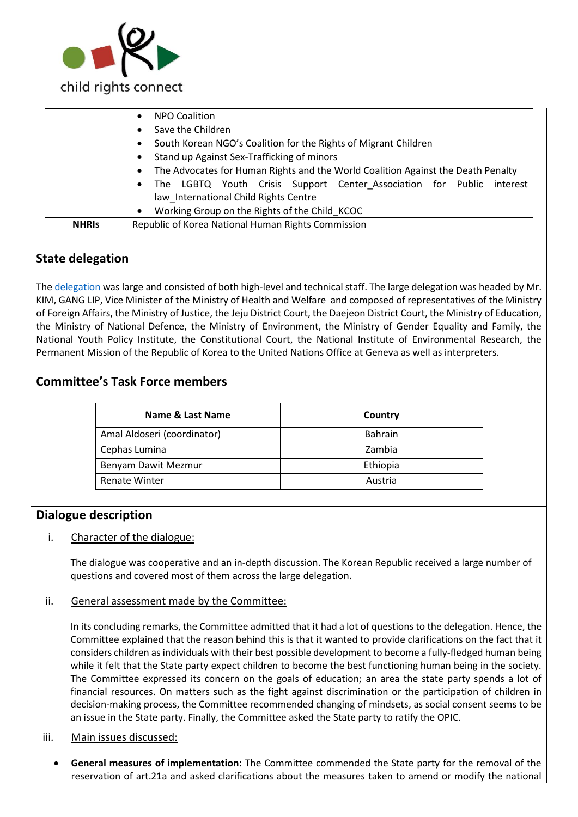

|              | <b>NPO Coalition</b><br>$\bullet$                                                             |  |
|--------------|-----------------------------------------------------------------------------------------------|--|
|              | Save the Children                                                                             |  |
|              | South Korean NGO's Coalition for the Rights of Migrant Children<br>$\bullet$                  |  |
|              | Stand up Against Sex-Trafficking of minors<br>$\bullet$                                       |  |
|              | The Advocates for Human Rights and the World Coalition Against the Death Penalty<br>$\bullet$ |  |
|              | The LGBTQ Youth Crisis Support Center Association for Public interest<br>$\bullet$            |  |
|              | law International Child Rights Centre                                                         |  |
|              | Working Group on the Rights of the Child KCOC<br>$\bullet$                                    |  |
| <b>NHRIS</b> | Republic of Korea National Human Rights Commission                                            |  |
|              |                                                                                               |  |

## **State delegation**

The [delegation](https://tbinternet.ohchr.org/_layouts/15/treatybodyexternal/Download.aspx?symbolno=INT%2fCRC%2fLOP%2fKOR%2f37082&Lang=en) was large and consisted of both high-level and technical staff. The large delegation was headed by Mr. KIM, GANG LIP, Vice Minister of the Ministry of Health and Welfare and composed of representatives of the Ministry of Foreign Affairs, the Ministry of Justice, the Jeju District Court, the Daejeon District Court, the Ministry of Education, the Ministry of National Defence, the Ministry of Environment, the Ministry of Gender Equality and Family, the National Youth Policy Institute, the Constitutional Court, the National Institute of Environmental Research, the Permanent Mission of the Republic of Korea to the United Nations Office at Geneva as well as interpreters.

## **Committee's Task Force members**

| Name & Last Name            | Country        |
|-----------------------------|----------------|
| Amal Aldoseri (coordinator) | <b>Bahrain</b> |
| Cephas Lumina               | Zambia         |
| Benyam Dawit Mezmur         | Ethiopia       |
| <b>Renate Winter</b>        | Austria        |

### **Dialogue description**

#### i. Character of the dialogue:

The dialogue was cooperative and an in-depth discussion. The Korean Republic received a large number of questions and covered most of them across the large delegation.

#### ii. General assessment made by the Committee:

In its concluding remarks, the Committee admitted that it had a lot of questions to the delegation. Hence, the Committee explained that the reason behind this is that it wanted to provide clarifications on the fact that it considers children as individuals with their best possible development to become a fully-fledged human being while it felt that the State party expect children to become the best functioning human being in the society. The Committee expressed its concern on the goals of education; an area the state party spends a lot of financial resources. On matters such as the fight against discrimination or the participation of children in decision-making process, the Committee recommended changing of mindsets, as social consent seems to be an issue in the State party. Finally, the Committee asked the State party to ratify the OPIC.

#### iii. Main issues discussed:

• **General measures of implementation:** The Committee commended the State party for the removal of the reservation of art.21a and asked clarifications about the measures taken to amend or modify the national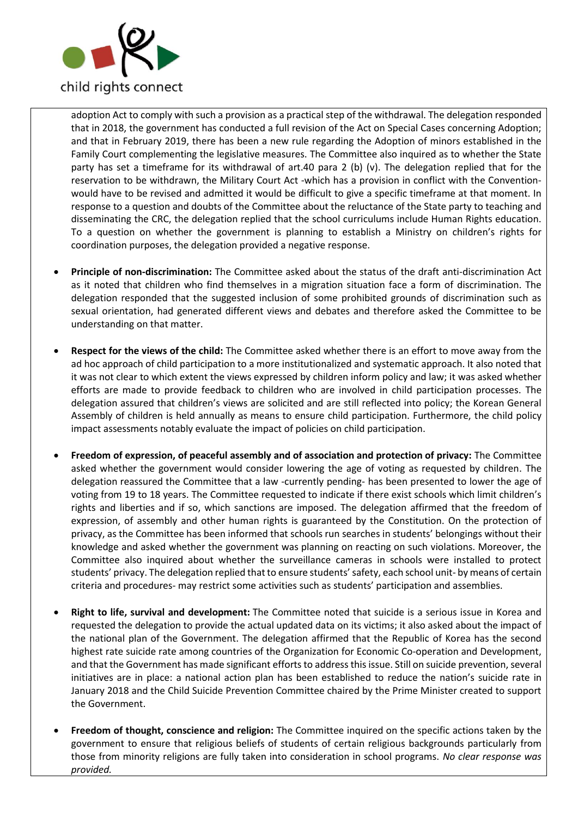

adoption Act to comply with such a provision as a practical step of the withdrawal. The delegation responded that in 2018, the government has conducted a full revision of the Act on Special Cases concerning Adoption; and that in February 2019, there has been a new rule regarding the Adoption of minors established in the Family Court complementing the legislative measures. The Committee also inquired as to whether the State party has set a timeframe for its withdrawal of art.40 para 2 (b) (v). The delegation replied that for the reservation to be withdrawn, the Military Court Act -which has a provision in conflict with the Conventionwould have to be revised and admitted it would be difficult to give a specific timeframe at that moment. In response to a question and doubts of the Committee about the reluctance of the State party to teaching and disseminating the CRC, the delegation replied that the school curriculums include Human Rights education. To a question on whether the government is planning to establish a Ministry on children's rights for coordination purposes, the delegation provided a negative response.

- **Principle of non-discrimination:** The Committee asked about the status of the draft anti-discrimination Act as it noted that children who find themselves in a migration situation face a form of discrimination. The delegation responded that the suggested inclusion of some prohibited grounds of discrimination such as sexual orientation, had generated different views and debates and therefore asked the Committee to be understanding on that matter.
- **Respect for the views of the child:** The Committee asked whether there is an effort to move away from the ad hoc approach of child participation to a more institutionalized and systematic approach. It also noted that it was not clear to which extent the views expressed by children inform policy and law; it was asked whether efforts are made to provide feedback to children who are involved in child participation processes. The delegation assured that children's views are solicited and are still reflected into policy; the Korean General Assembly of children is held annually as means to ensure child participation. Furthermore, the child policy impact assessments notably evaluate the impact of policies on child participation.
- **Freedom of expression, of peaceful assembly and of association and protection of privacy:** The Committee asked whether the government would consider lowering the age of voting as requested by children. The delegation reassured the Committee that a law -currently pending- has been presented to lower the age of voting from 19 to 18 years. The Committee requested to indicate if there exist schools which limit children's rights and liberties and if so, which sanctions are imposed. The delegation affirmed that the freedom of expression, of assembly and other human rights is guaranteed by the Constitution. On the protection of privacy, as the Committee has been informed that schools run searches in students' belongings without their knowledge and asked whether the government was planning on reacting on such violations. Moreover, the Committee also inquired about whether the surveillance cameras in schools were installed to protect students' privacy. The delegation replied that to ensure students' safety, each school unit- by means of certain criteria and procedures- may restrict some activities such as students' participation and assemblies.
- **Right to life, survival and development:** The Committee noted that suicide is a serious issue in Korea and requested the delegation to provide the actual updated data on its victims; it also asked about the impact of the national plan of the Government. The delegation affirmed that the Republic of Korea has the second highest rate suicide rate among countries of the Organization for Economic Co-operation and Development, and that the Government has made significant efforts to address this issue. Still on suicide prevention, several initiatives are in place: a national action plan has been established to reduce the nation's suicide rate in January 2018 and the Child Suicide Prevention Committee chaired by the Prime Minister created to support the Government.
- **Freedom of thought, conscience and religion:** The Committee inquired on the specific actions taken by the government to ensure that religious beliefs of students of certain religious backgrounds particularly from those from minority religions are fully taken into consideration in school programs. *No clear response was provided.*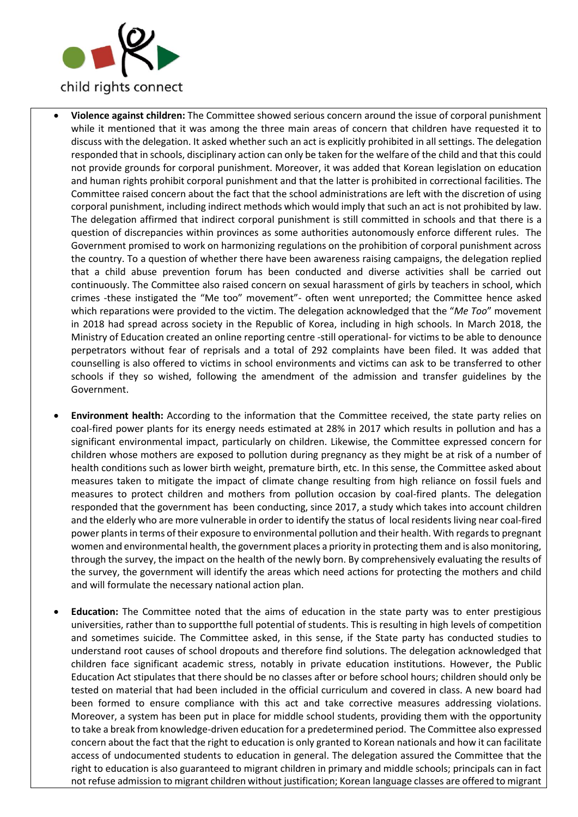

- **Violence against children:** The Committee showed serious concern around the issue of corporal punishment while it mentioned that it was among the three main areas of concern that children have requested it to discuss with the delegation. It asked whether such an act is explicitly prohibited in all settings. The delegation responded that in schools, disciplinary action can only be taken for the welfare of the child and that this could not provide grounds for corporal punishment. Moreover, it was added that Korean legislation on education and human rights prohibit corporal punishment and that the latter is prohibited in correctional facilities. The Committee raised concern about the fact that the school administrations are left with the discretion of using corporal punishment, including indirect methods which would imply that such an act is not prohibited by law. The delegation affirmed that indirect corporal punishment is still committed in schools and that there is a question of discrepancies within provinces as some authorities autonomously enforce different rules. The Government promised to work on harmonizing regulations on the prohibition of corporal punishment across the country. To a question of whether there have been awareness raising campaigns, the delegation replied that a child abuse prevention forum has been conducted and diverse activities shall be carried out continuously. The Committee also raised concern on sexual harassment of girls by teachers in school, which crimes -these instigated the "Me too" movement"- often went unreported; the Committee hence asked which reparations were provided to the victim. The delegation acknowledged that the "*Me Too*" movement in 2018 had spread across society in the Republic of Korea, including in high schools. In March 2018, the Ministry of Education created an online reporting centre -still operational- for victims to be able to denounce perpetrators without fear of reprisals and a total of 292 complaints have been filed. It was added that counselling is also offered to victims in school environments and victims can ask to be transferred to other schools if they so wished, following the amendment of the admission and transfer guidelines by the Government.
- **Environment health:** According to the information that the Committee received, the state party relies on coal-fired power plants for its energy needs estimated at 28% in 2017 which results in pollution and has a significant environmental impact, particularly on children. Likewise, the Committee expressed concern for children whose mothers are exposed to pollution during pregnancy as they might be at risk of a number of health conditions such as lower birth weight, premature birth, etc. In this sense, the Committee asked about measures taken to mitigate the impact of climate change resulting from high reliance on fossil fuels and measures to protect children and mothers from pollution occasion by coal-fired plants. The delegation responded that the government has been conducting, since 2017, a study which takes into account children and the elderly who are more vulnerable in order to identify the status of local residents living near coal-fired power plants in terms of their exposure to environmental pollution and their health. With regards to pregnant women and environmental health, the government places a priority in protecting them and is also monitoring, through the survey, the impact on the health of the newly born. By comprehensively evaluating the results of the survey, the government will identify the areas which need actions for protecting the mothers and child and will formulate the necessary national action plan.
- **Education:** The Committee noted that the aims of education in the state party was to enter prestigious universities, rather than to supportthe full potential of students. This is resulting in high levels of competition and sometimes suicide. The Committee asked, in this sense, if the State party has conducted studies to understand root causes of school dropouts and therefore find solutions. The delegation acknowledged that children face significant academic stress, notably in private education institutions. However, the Public Education Act stipulates that there should be no classes after or before school hours; children should only be tested on material that had been included in the official curriculum and covered in class. A new board had been formed to ensure compliance with this act and take corrective measures addressing violations. Moreover, a system has been put in place for middle school students, providing them with the opportunity to take a break from knowledge-driven education for a predetermined period. The Committee also expressed concern about the fact that the right to education is only granted to Korean nationals and how it can facilitate access of undocumented students to education in general. The delegation assured the Committee that the right to education is also guaranteed to migrant children in primary and middle schools; principals can in fact not refuse admission to migrant children without justification; Korean language classes are offered to migrant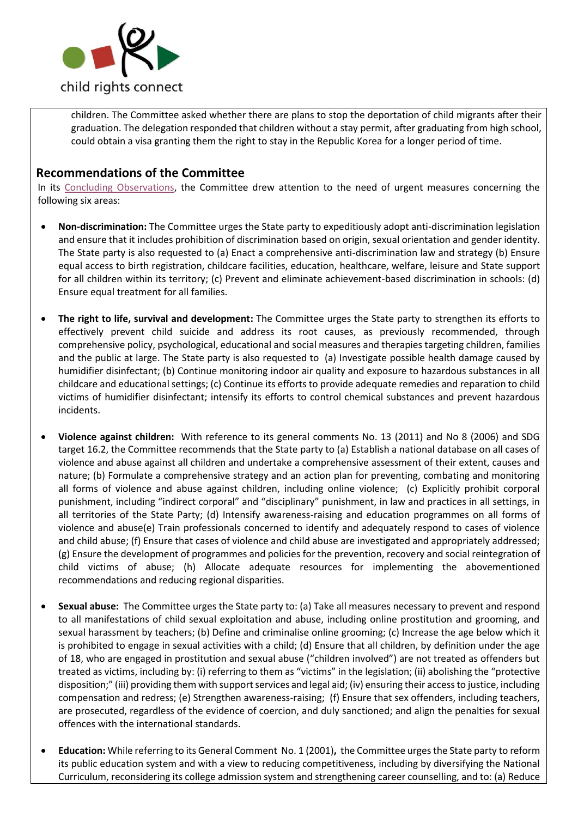

children. The Committee asked whether there are plans to stop the deportation of child migrants after their graduation. The delegation responded that children without a stay permit, after graduating from high school, could obtain a visa granting them the right to stay in the Republic Korea for a longer period of time.

## **Recommendations of the Committee**

In its [Concluding Observations,](https://tbinternet.ohchr.org/_layouts/15/treatybodyexternal/Download.aspx?symbolno=CRC%2fC%2fKOR%2fCO%2f5-6&Lang=en) the Committee drew attention to the need of urgent measures concerning the following six areas:

- **Non-discrimination:** The Committee urges the State party to expeditiously adopt anti-discrimination legislation and ensure that it includes prohibition of discrimination based on origin, sexual orientation and gender identity. The State party is also requested to (a) Enact a comprehensive anti-discrimination law and strategy (b) Ensure equal access to birth registration, childcare facilities, education, healthcare, welfare, leisure and State support for all children within its territory; (c) Prevent and eliminate achievement-based discrimination in schools: (d) Ensure equal treatment for all families.
- **The right to life, survival and development:** The Committee urges the State party to strengthen its efforts to effectively prevent child suicide and address its root causes, as previously recommended, through comprehensive policy, psychological, educational and social measures and therapies targeting children, families and the public at large. The State party is also requested to (a) Investigate possible health damage caused by humidifier disinfectant; (b) Continue monitoring indoor air quality and exposure to hazardous substances in all childcare and educational settings; (c) Continue its efforts to provide adequate remedies and reparation to child victims of humidifier disinfectant; intensify its efforts to control chemical substances and prevent hazardous incidents.
- **Violence against children:** With reference to its general comments No. 13 (2011) and No 8 (2006) and SDG target 16.2, the Committee recommends that the State party to (a) Establish a national database on all cases of violence and abuse against all children and undertake a comprehensive assessment of their extent, causes and nature; (b) Formulate a comprehensive strategy and an action plan for preventing, combating and monitoring all forms of violence and abuse against children, including online violence; (c) Explicitly prohibit corporal punishment, including "indirect corporal" and "disciplinary" punishment, in law and practices in all settings, in all territories of the State Party; (d) Intensify awareness-raising and education programmes on all forms of violence and abuse(e) Train professionals concerned to identify and adequately respond to cases of violence and child abuse; (f) Ensure that cases of violence and child abuse are investigated and appropriately addressed; (g) Ensure the development of programmes and policies for the prevention, recovery and social reintegration of child victims of abuse; (h) Allocate adequate resources for implementing the abovementioned recommendations and reducing regional disparities.
- **Sexual abuse:** The Committee urges the State party to: (a) Take all measures necessary to prevent and respond to all manifestations of child sexual exploitation and abuse, including online prostitution and grooming, and sexual harassment by teachers; (b) Define and criminalise online grooming; (c) Increase the age below which it is prohibited to engage in sexual activities with a child; (d) Ensure that all children, by definition under the age of 18, who are engaged in prostitution and sexual abuse ("children involved") are not treated as offenders but treated as victims, including by: (i) referring to them as "victims" in the legislation; (ii) abolishing the "protective disposition;" (iii) providing them with support services and legal aid; (iv) ensuring their access to justice, including compensation and redress; (e) Strengthen awareness-raising; (f) Ensure that sex offenders, including teachers, are prosecuted, regardless of the evidence of coercion, and duly sanctioned; and align the penalties for sexual offences with the international standards.
- **Education:** While referring to its General Comment No. 1 (2001)**,** the Committee urges the State party to reform its public education system and with a view to reducing competitiveness, including by diversifying the National Curriculum, reconsidering its college admission system and strengthening career counselling, and to: (a) Reduce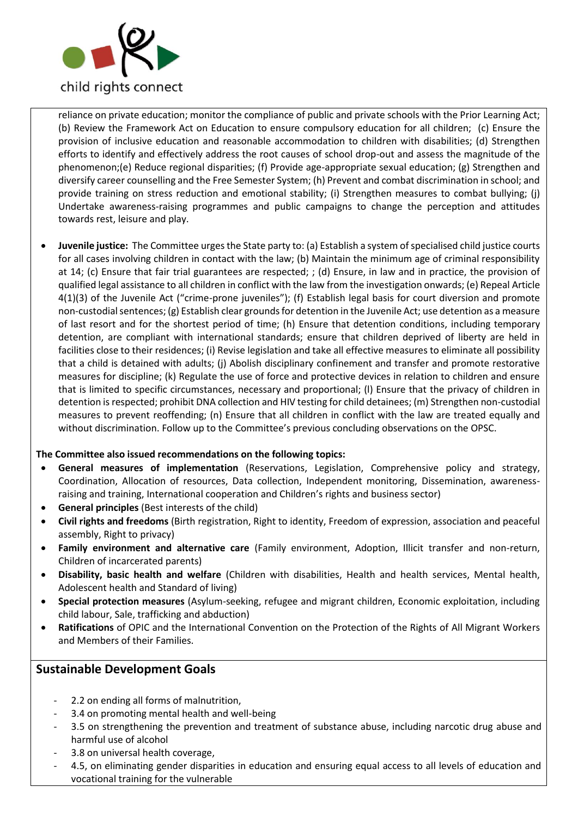

reliance on private education; monitor the compliance of public and private schools with the Prior Learning Act; (b) Review the Framework Act on Education to ensure compulsory education for all children; (c) Ensure the provision of inclusive education and reasonable accommodation to children with disabilities; (d) Strengthen efforts to identify and effectively address the root causes of school drop-out and assess the magnitude of the phenomenon;(e) Reduce regional disparities; (f) Provide age-appropriate sexual education; (g) Strengthen and diversify career counselling and the Free Semester System; (h) Prevent and combat discrimination in school; and provide training on stress reduction and emotional stability; (i) Strengthen measures to combat bullying; (j) Undertake awareness-raising programmes and public campaigns to change the perception and attitudes towards rest, leisure and play.

• **Juvenile justice:** The Committee urges the State party to: (a) Establish a system of specialised child justice courts for all cases involving children in contact with the law; (b) Maintain the minimum age of criminal responsibility at 14; (c) Ensure that fair trial guarantees are respected; ; (d) Ensure, in law and in practice, the provision of qualified legal assistance to all children in conflict with the law from the investigation onwards; (e) Repeal Article 4(1)(3) of the Juvenile Act ("crime-prone juveniles"); (f) Establish legal basis for court diversion and promote non-custodial sentences; (g) Establish clear grounds for detention in the Juvenile Act; use detention as a measure of last resort and for the shortest period of time; (h) Ensure that detention conditions, including temporary detention, are compliant with international standards; ensure that children deprived of liberty are held in facilities close to their residences; (i) Revise legislation and take all effective measures to eliminate all possibility that a child is detained with adults; (j) Abolish disciplinary confinement and transfer and promote restorative measures for discipline; (k) Regulate the use of force and protective devices in relation to children and ensure that is limited to specific circumstances, necessary and proportional; (l) Ensure that the privacy of children in detention is respected; prohibit DNA collection and HIV testing for child detainees; (m) Strengthen non-custodial measures to prevent reoffending; (n) Ensure that all children in conflict with the law are treated equally and without discrimination. Follow up to the Committee's previous concluding observations on the OPSC.

#### **The Committee also issued recommendations on the following topics:**

- **General measures of implementation** (Reservations, Legislation, Comprehensive policy and strategy, Coordination, Allocation of resources, Data collection, Independent monitoring, Dissemination, awarenessraising and training, International cooperation and Children's rights and business sector)
- **General principles** (Best interests of the child)
- **Civil rights and freedoms** (Birth registration, Right to identity, Freedom of expression, association and peaceful assembly, Right to privacy)
- **Family environment and alternative care** (Family environment, Adoption, Illicit transfer and non-return, Children of incarcerated parents)
- **Disability, basic health and welfare** (Children with disabilities, Health and health services, Mental health, Adolescent health and Standard of living)
- **Special protection measures** (Asylum-seeking, refugee and migrant children, Economic exploitation, including child labour, Sale, trafficking and abduction)
- **Ratifications** of OPIC and the International Convention on the Protection of the Rights of All Migrant Workers and Members of their Families.

## **Sustainable Development Goals**

- 2.2 on ending all forms of malnutrition,
- 3.4 on promoting mental health and well-being
- 3.5 on strengthening the prevention and treatment of substance abuse, including narcotic drug abuse and harmful use of alcohol
- 3.8 on universal health coverage,
- 4.5, on eliminating gender disparities in education and ensuring equal access to all levels of education and vocational training for the vulnerable